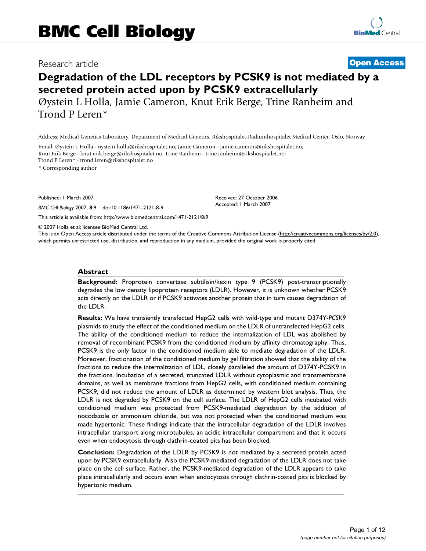# Research article **[Open Access](http://www.biomedcentral.com/info/about/charter/)**

# **Degradation of the LDL receptors by PCSK9 is not mediated by a secreted protein acted upon by PCSK9 extracellularly** Øystein L Holla, Jamie Cameron, Knut Erik Berge, Trine Ranheim and

Trond P Leren\*

Address: Medical Genetics Laboratory, Department of Medical Genetics, Rikshospitalet-Radiumhospitalet Medical Center, Oslo, Norway

Email: Øystein L Holla - oystein.holla@rikshospitalet.no; Jamie Cameron - jamie.cameron@rikshospitalet.no; Knut Erik Berge - knut.erik.berge@rikshospitalet.no; Trine Ranheim - trine.ranheim@rikshospitalet.no; Trond P Leren\* - trond.leren@rikshospitalet.no

\* Corresponding author

Published: 1 March 2007

*BMC Cell Biology* 2007, **8**:9 doi:10.1186/1471-2121-8-9

[This article is available from: http://www.biomedcentral.com/1471-2121/8/9](http://www.biomedcentral.com/1471-2121/8/9)

© 2007 Holla et al; licensee BioMed Central Ltd.

This is an Open Access article distributed under the terms of the Creative Commons Attribution License [\(http://creativecommons.org/licenses/by/2.0\)](http://creativecommons.org/licenses/by/2.0), which permits unrestricted use, distribution, and reproduction in any medium, provided the original work is properly cited.

Received: 27 October 2006 Accepted: 1 March 2007

#### **Abstract**

**Background:** Proprotein convertase subtilisin/kexin type 9 (PCSK9) post-transcriptionally degrades the low density lipoprotein receptors (LDLR). However, it is unknown whether PCSK9 acts directly on the LDLR or if PCSK9 activates another protein that in turn causes degradation of the LDLR.

**Results:** We have transiently transfected HepG2 cells with wild-type and mutant D374Y-*PCSK9* plasmids to study the effect of the conditioned medium on the LDLR of untransfected HepG2 cells. The ability of the conditioned medium to reduce the internalization of LDL was abolished by removal of recombinant PCSK9 from the conditioned medium by affinity chromatography. Thus, PCSK9 is the only factor in the conditioned medium able to mediate degradation of the LDLR. Moreover, fractionation of the conditioned medium by gel filtration showed that the ability of the fractions to reduce the internalization of LDL, closely paralleled the amount of D374Y-PCSK9 in the fractions. Incubation of a secreted, truncated LDLR without cytoplasmic and transmembrane domains, as well as membrane fractions from HepG2 cells, with conditioned medium containing PCSK9, did not reduce the amount of LDLR as determined by western blot analysis. Thus, the LDLR is not degraded by PCSK9 on the cell surface. The LDLR of HepG2 cells incubated with conditioned medium was protected from PCSK9-mediated degradation by the addition of nocodazole or ammonium chloride, but was not protected when the conditioned medium was made hypertonic. These findings indicate that the intracellular degradation of the LDLR involves intracellular transport along microtubules, an acidic intracellular compartment and that it occurs even when endocytosis through clathrin-coated pits has been blocked.

**Conclusion:** Degradation of the LDLR by PCSK9 is not mediated by a secreted protein acted upon by PCSK9 extracellularly. Also the PCSK9-mediated degradation of the LDLR does not take place on the cell surface. Rather, the PCSK9-mediated degradation of the LDLR appears to take place intracellularly and occurs even when endocytosis through clathrin-coated pits is blocked by hypertonic medium.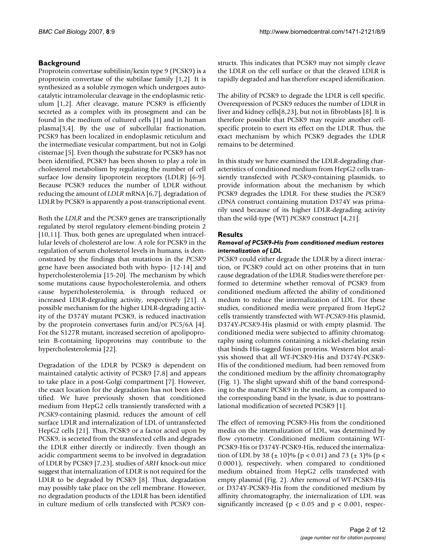# **Background**

Proprotein convertase subtilisin/kexin type 9 (PCSK9) is a proprotein convertase of the subtilase family [1,2]. It is synthesized as a soluble zymogen which undergoes autocatalytic intramolecular cleavage in the endoplasmic reticulum [1,2]. After cleavage, mature PCSK9 is efficiently secreted as a complex with its prosegment and can be found in the medium of cultured cells [1] and in human plasma[3,4]. By the use of subcellular fractionation, PCSK9 has been localized in endoplasmic reticulum and the intermediate vesicular compartment, but not in Golgi cisternae [5]. Even though the substrate for PCSK9 has not been identified, PCSK9 has been shown to play a role in cholesterol metabolism by regulating the number of cell surface low density lipoprotein receptors (LDLR) [6-9]. Because PCSK9 reduces the number of LDLR without reducing the amount of *LDLR* mRNA [6,7], degradation of LDLR by PCSK9 is apparently a post-transcriptional event.

Both the *LDLR* and the *PCSK9* genes are transcriptionally regulated by sterol regulatory element-binding protein 2 [10,11]. Thus, both genes are upregulated when intracellular levels of cholesterol are low. A role for PCSK9 in the regulation of serum cholesterol levels in humans, is demonstrated by the findings that mutations in the *PCSK9* gene have been associated both with hypo- [12-14] and hypercholesterolemia [15-20]. The mechanism by which some mutations cause hypocholesterolemia, and others cause hypercholesterolemia, is through reduced or increased LDLR-degrading activity, respectively [21]. A possible mechanism for the higher LDLR-degrading activity of the D374Y mutant PCSK9, is reduced inactivation by the proprotein convertases furin and/or PC5/6A [4]. For the S127R mutant, increased secretion of apolipoprotein B-containing lipoproteins may contribute to the hypercholesterolemia [22].

Degradation of the LDLR by PCSK9 is dependent on maintained catalytic activity of PCSK9 [7,8] and appears to take place in a post-Golgi compartment [7]. However, the exact location for the degradation has not been identified. We have previously shown that conditioned medium from HepG2 cells transiently transfected with a *PCSK9*-containing plasmid, reduces the amount of cell surface LDLR and internalization of LDL of untransfected HepG2 cells [21]. Thus, PCSK9 or a factor acted upon by PCSK9, is secreted from the transfected cells and degrades the LDLR either directly or indirectly. Even though an acidic compartment seems to be involved in degradation of LDLR by PCSK9 [7,23], studies of *ARH* knock-out mice suggest that internalization of LDLR is not required for the LDLR to be degraded by PCSK9 [8]. Thus, degradation may possibly take place on the cell membrane. However, no degradation products of the LDLR has been identified in culture medium of cells transfected with *PCSK9* constructs. This indicates that PCSK9 may not simply cleave the LDLR on the cell surface or that the cleaved LDLR is rapidly degraded and has therefore escaped identification.

The ability of PCSK9 to degrade the LDLR is cell specific. Overexpression of PCSK9 reduces the number of LDLR in liver and kidney cells[8,23], but not in fibroblasts [8]. It is therefore possible that PCSK9 may require another cellspecific protein to exert its effect on the LDLR. Thus, the exact mechanism by which PCSK9 degrades the LDLR remains to be determined.

In this study we have examined the LDLR-degrading characteristics of conditioned medium from HepG2 cells transiently transfected with *PCSK9*-containing plasmids, to provide information about the mechanism by which PCSK9 degrades the LDLR. For these studies the *PCSK9* cDNA construct containing mutation D374Y was primarily used because of its higher LDLR-degrading activity than the wild-type (WT) *PCSK9* construct [4,21].

# **Results**

#### *Removal of PCSK9-His from conditioned medium restores internalization of LDL*

PCSK9 could either degrade the LDLR by a direct interaction, or PCSK9 could act on other proteins that in turn cause degradation of the LDLR. Studies were therefore performed to determine whether removal of PCSK9 from conditioned medium affected the ability of conditioned medum to reduce the internalization of LDL. For these studies, conditioned media were prepared from HepG2 cells transiently transfected with WT-*PCSK9*-His plasmid, D374Y-*PCSK9*-His plasmid or with empty plasmid. The conditioned media were subjected to affinity chromatography using columns containing a nickel-chelating resin that binds His-tagged fusion proteins. Western blot analysis showed that all WT-PCSK9-His and D374Y-PCSK9- His of the conditioned medium, had been removed from the conditioned medium by the affinity chromatography (Fig. 1). The slight upward shift of the band corresponding to the mature PCSK9 in the medium, as compared to the corresponding band in the lysate, is due to posttranslational modification of secreted PCSK9 [1].

The effect of removing PCSK9-His from the conditioned media on the internalization of LDL, was determined by flow cytometry. Conditioned medium containing WT-PCSK9-His or D374Y-PCSK9-His, reduced the internalization of LDL by 38 ( $\pm$  10)% (p < 0.01) and 73 ( $\pm$  3)% (p < 0.0001), respectively, when compared to conditioned medium obtained from HepG2 cells transfected with empty plasmid (Fig. 2). After removal of WT-PCSK9-His or D374Y-PCSK9-His from the conditioned medium by affinity chromatography, the internalization of LDL was significantly increased ( $p < 0.05$  and  $p < 0.001$ , respec-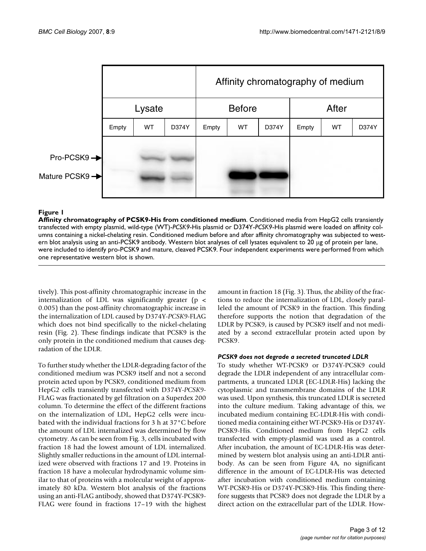|                                              |        |           |       | Affinity chromatography of medium |           |       |       |    |       |  |  |
|----------------------------------------------|--------|-----------|-------|-----------------------------------|-----------|-------|-------|----|-------|--|--|
|                                              | Lysate |           |       | <b>Before</b>                     |           |       | After |    |       |  |  |
|                                              | Empty  | <b>WT</b> | D374Y | Empty                             | <b>WT</b> | D374Y | Empty | WT | D374Y |  |  |
| Pro-PCSK9 →<br>Mature PCSK9 <sup>-&gt;</sup> |        |           |       |                                   |           |       |       |    |       |  |  |

**Affinity chromatography of PCSK9-His from conditioned medium**. Conditioned media from HepG2 cells transiently transfected with empty plasmid, wild-type (WT)-*PCSK9*-His plasmid or D374Y-*PCSK9*-His plasmid were loaded on affinity columns containing a nickel-chelating resin. Conditioned medium before and after affinity chromatography was subjected to western blot analysis using an anti-PCSK9 antibody. Western blot analyses of cell lysates equivalent to 20 μg of protein per lane, were included to identify pro-PCSK9 and mature, cleaved PCSK9. Four independent experiments were performed from which one representative western blot is shown.

tively). This post-affinity chromatographic increase in the internalization of LDL was significantly greater ( $p \lt$ 0.005) than the post-affinity chromatographic increase in the internalization of LDL caused by D374Y-*PCSK9*-FLAG which does not bind specifically to the nickel-chelating resin (Fig. 2). These findings indicate that PCSK9 is the only protein in the conditioned medium that causes degradation of the LDLR.

To further study whether the LDLR-degrading factor of the conditioned medium was PCSK9 itself and not a second protein acted upon by PCSK9, conditioned medium from HepG2 cells transiently transfected with D374Y-*PCSK9*- FLAG was fractionated by gel filtration on a Superdex 200 column. To determine the effect of the different fractions on the internalization of LDL, HepG2 cells were incubated with the individual fractions for 3 h at 37°C before the amount of LDL internalized was determined by flow cytometry. As can be seen from Fig. 3, cells incubated with fraction 18 had the lowest amount of LDL internalized. Slightly smaller reductions in the amount of LDL internalized were observed with fractions 17 and 19. Proteins in fraction 18 have a molecular hydrodynamic volume similar to that of proteins with a molecular weight of approximately 80 kDa. Western blot analysis of the fractions using an anti-FLAG antibody, showed that D374Y-PCSK9- FLAG were found in fractions 17–19 with the highest amount in fraction 18 (Fig. 3). Thus, the ability of the fractions to reduce the internalization of LDL, closely paralleled the amount of PCSK9 in the fraction. This finding therefore supports the notion that degradation of the LDLR by PCSK9, is caused by PCSK9 itself and not mediated by a second extracellular protein acted upon by PCSK9.

# *PCSK9 does not degrade a secreted truncated LDLR*

To study whether WT-PCSK9 or D374Y-PCSK9 could degrade the LDLR independent of any intracellular compartments, a truncated LDLR (EC-LDLR-His) lacking the cytoplasmic and transmembrane domains of the LDLR was used. Upon synthesis, this truncated LDLR is secreted into the culture medium. Taking advantage of this, we incubated medium containing EC-LDLR-His with conditioned media containing either WT-PCSK9-His or D374Y-PCSK9-His. Conditioned medium from HepG2 cells transfected with empty-plasmid was used as a control. After incubation, the amount of EC-LDLR-His was determined by western blot analysis using an anti-LDLR antibody. As can be seen from Figure 4A, no significant difference in the amount of EC-LDLR-His was detected after incubation with conditioned medium containing WT-PCSK9-His or D374Y-PCSK9-His. This finding therefore suggests that PCSK9 does not degrade the LDLR by a direct action on the extracellular part of the LDLR. How-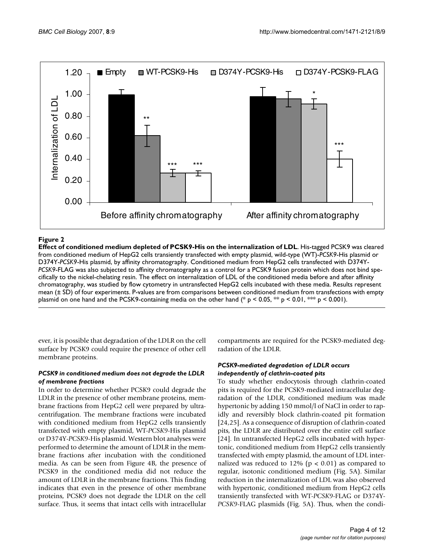

**Effect of conditioned medium depleted of PCSK9-His on the internalization of LDL**. His-tagged PCSK9 was cleared from conditioned medium of HepG2 cells transiently transfected with empty plasmid, wild-type (WT)-*PCSK9*-His plasmid or D374Y-*PCSK9*-His plasmid, by affinity chromatography. Conditioned medium from HepG2 cells transfected with D374Y-*PCSK9*-FLAG was also subjected to affinity chromatography as a control for a PCSK9 fusion protein which does not bind specifically to the nickel-chelating resin. The effect on internalization of LDL of the conditioned media before and after affinity chromatography, was studied by flow cytometry in untransfected HepG2 cells incubated with these media. Results represent mean (± SD) of four experiments. P-values are from comparisons between conditioned medium from transfections with empty plasmid on one hand and the PCSK9-containing media on the other hand (\* p < 0.05, \*\* p < 0.01, \*\* p < 0.001).

ever, it is possible that degradation of the LDLR on the cell surface by PCSK9 could require the presence of other cell membrane proteins.

# *PCSK9 in conditioned medium does not degrade the LDLR of membrane fractions*

In order to determine whether PCSK9 could degrade the LDLR in the presence of other membrane proteins, membrane fractions from HepG2 cell were prepared by ultracentrifugation. The membrane fractions were incubated with conditioned medium from HepG2 cells transiently transfected with empty plasmid, WT-*PCSK9*-His plasmid or D374Y-*PCSK9*-His plasmid. Western blot analyses were performed to determine the amount of LDLR in the membrane fractions after incubation with the conditioned media. As can be seen from Figure 4B, the presence of PCSK9 in the conditioned media did not reduce the amount of LDLR in the membrane fractions. This finding indicates that even in the presence of other membrane proteins, PCSK9 does not degrade the LDLR on the cell surface. Thus, it seems that intact cells with intracellular compartments are required for the PCSK9-mediated degradation of the LDLR.

# *PCSK9-mediated degradation of LDLR occurs independently of clathrin-coated pits*

To study whether endocytosis through clathrin-coated pits is required for the PCSK9-mediated intracellular degradation of the LDLR, conditioned medium was made hypertonic by adding 150 mmol/l of NaCl in order to rapidly and reversibly block clathrin-coated pit formation [24,25]. As a consequence of disruption of clathrin-coated pits, the LDLR are distributed over the entire cell surface [24]. In untransfected HepG2 cells incubated with hypertonic, conditioned medium from HepG2 cells transiently transfected with empty plasmid, the amount of LDL internalized was reduced to  $12\%$  (p < 0.01) as compared to regular, isotonic conditioned medium (Fig. 5A). Similar reduction in the internalization of LDL was also observed with hypertonic, conditioned medium from HepG2 cells transiently transfected with WT-*PCSK9*-FLAG or D374Y-*PCSK9*-FLAG plasmids (Fig. 5A). Thus, when the condi-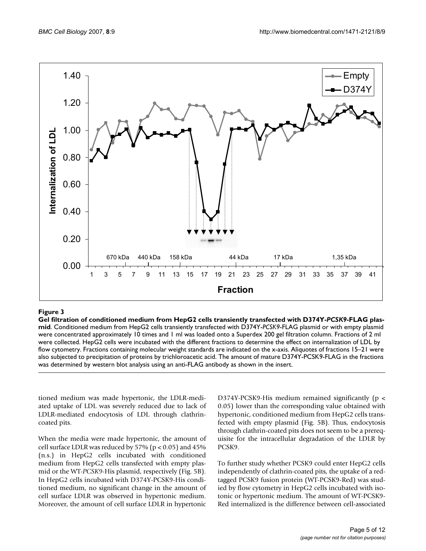

# **Figure 3** Gel filtration of conditioned medium from HepG2 cells transiently transiently transfected with D374Y-PCSK9-FLAG plasmid  $\alpha$ 74Y-PCSK9-FLAG plasmid in the D374Y-PCSK9-FLAG plasmid in the D374Y-PCSK9-FLAG plasmid

**Gel filtration of conditioned medium from HepG2 cells transiently transfected with D374Y-***PCSK9***-FLAG plasmid**. Conditioned medium from HepG2 cells transiently transfected with D374Y-*PCSK9*-FLAG plasmid or with empty plasmid were concentrated approximately 10 times and 1 ml was loaded onto a Superdex 200 gel filtration column. Fractions of 2 ml were collected. HepG2 cells were incubated with the different fractions to determine the effect on internalization of LDL by flow cytometry. Fractions containing molecular weight standards are indicated on the x-axis. Aliquotes of fractions 15–21 were also subjected to precipitation of proteins by trichloroacetic acid. The amount of mature D374Y-PCSK9-FLAG in the fractions was determined by western blot analysis using an anti-FLAG antibody as shown in the insert.

tioned medium was made hypertonic, the LDLR-mediated uptake of LDL was severely reduced due to lack of LDLR-mediated endocytosis of LDL through clathrincoated pits.

When the media were made hypertonic, the amount of cell surface LDLR was reduced by  $57\%$  ( $p < 0.05$ ) and  $45\%$ (n.s.) in HepG2 cells incubated with conditioned medium from HepG2 cells transfected with empty plasmid or the WT-*PCSK9*-His plasmid, respectively (Fig. 5B). In HepG2 cells incubated with D374Y-PCSK9-His conditioned medium, no significant change in the amount of cell surface LDLR was observed in hypertonic medium. Moreover, the amount of cell surface LDLR in hypertonic D374Y-PCSK9-His medium remained significantly (p < 0.05) lower than the corresponding value obtained with hypertonic, conditioned medium from HepG2 cells transfected with empty plasmid (Fig. 5B). Thus, endocytosis through clathrin-coated pits does not seem to be a prerequisite for the intracellular degradation of the LDLR by PCSK9.

To further study whether PCSK9 could enter HepG2 cells independently of clathrin-coated pits, the uptake of a redtagged PCSK9 fusion protein (WT-PCSK9-Red) was studied by flow cytometry in HepG2 cells incubated with isotonic or hypertonic medium. The amount of WT-PCSK9- Red internalized is the difference between cell-associated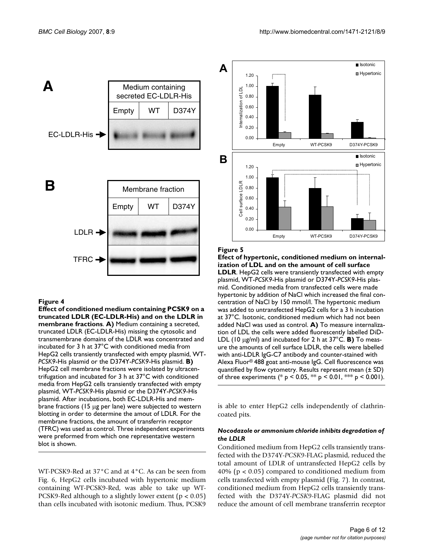

**Effect of conditioned medium containing PCSK9 on a truncated LDLR (EC-LDLR-His) and on the LDLR in membrane fractions**. **A)** Medium containing a secreted, truncated LDLR (EC-LDLR-His) missing the cytosolic and transmembrane domains of the LDLR was concentrated and incubated for 3 h at 37°C with conditioned media from HepG2 cells transiently transfected with empty plasmid, WT-*PCSK9*-His plasmid or the D374Y-*PCSK9*-His plasmid. **B)**  HepG2 cell membrane fractions were isolated by ultracentrifugation and incubated for 3 h at 37°C with conditioned media from HepG2 cells transiently transfected with empty plasmid, WT-*PCSK9*-His plasmid or the D374Y-*PCSK9*-His plasmid. After incubations, both EC-LDLR-His and membrane fractions (15 μg per lane) were subjected to western blotting in order to determine the amout of LDLR. For the membrane fractions, the amount of transferrin receptor (TFRC) was used as control. Three independent experiments were preformed from which one representative western blot is shown.

WT-PCSK9-Red at 37°C and at 4°C. As can be seen from Fig. 6, HepG2 cells incubated with hypertonic medium containing WT-PCSK9-Red, was able to take up WT-PCSK9-Red although to a slightly lower extent ( $p < 0.05$ ) than cells incubated with isotonic medium. Thus, PCSK9



#### Figure 5

**Efect of hypertonic, conditioned medium on internalization of LDL and on the amount of cell surface LDLR**. HepG2 cells were transiently transfected with empty plasmid, WT-*PCSK9*-His plasmid or D374Y-*PCSK9*-His plasmid. Conditioned media from transfected cells were made hypertonic by addition of NaCl which increased the final concentration of NaCl by 150 mmol/l. The hypertonic medium was added to untransfected HepG2 cells for a 3 h incubation at 37°C. Isotonic, conditioned medium which had not been added NaCl was used as control. **A)** To measure internalization of LDL the cells were added fluorescently labelled DiD-LDL (10 μg/ml) and incubated for 2 h at 37°C. **B)** To measure the amounts of cell surface LDLR, the cells were labelled with anti-LDLR IgG-C7 antibody and counter-stained with Alexa Fluor® 488 goat anti-mouse IgG. Cell fluorescence was quantified by flow cytometry. Results represent mean (± SD) of three experiments (\* p < 0.05, \*\* p < 0.01, \*\* p < 0.001).

is able to enter HepG2 cells independently of clathrincoated pits.

#### *Nocodazole or ammonium chloride inhibits degradation of the LDLR*

Conditioned medium from HepG2 cells transiently transfected with the D374Y-*PCSK9*-FLAG plasmid, reduced the total amount of LDLR of untransfected HepG2 cells by 40% (p < 0.05) compared to conditioned medium from cells transfected with empty plasmid (Fig. 7). In contrast, conditioned medium from HepG2 cells transiently transfected with the D374Y-*PCSK9*-FLAG plasmid did not reduce the amount of cell membrane transferrin receptor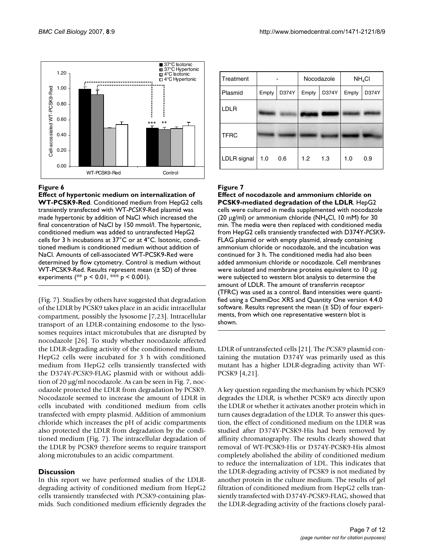

**Effect of hypertonic medium on internalization of WT-PCSK9-Red**. Conditioned medium from HepG2 cells transiently transfected with WT-*PCSK9*-Red plasmid was made hypertonic by addition of NaCl which increased the final concentration of NaCl by 150 mmol/l. The hypertonic, conditioned medium was added to untransfected HepG2 cells for 3 h incubations at 37°C or at 4°C. Isotonic, conditioned medium is conditioned medium without addition of NaCl. Amounts of cell-associated WT-PCSK9-Red were determined by flow cytometry. Control is medium without WT-PCSK9-Red. Results represent mean (± SD) of three experiments (\*\* p < 0.01, \*\*\* p < 0.001).

(Fig. 7). Studies by others have suggested that degradation of the LDLR by PCSK9 takes place in an acidic intracellular compartment, possibly the lysosome [7,23]. Intracellular transport of an LDLR-containing endosome to the lysosomes requires intact microtubules that are disrupted by nocodazole [26]. To study whether nocodazole affected the LDLR-degrading activity of the conditioned medium, HepG2 cells were incubated for 3 h with conditioned medium from HepG2 cells transiently transfected with the D374Y-*PCSK9*-FLAG plasmid with or without addition of 20 μg/ml nocodazole. As can be seen in Fig. 7, nocodazole protected the LDLR from degradation by PCSK9. Nocodazole seemed to increase the amount of LDLR in cells incubated with conditioned medium from cells transfected with empty plasmid. Addition of ammonium chloride which increases the pH of acidic compartments also protected the LDLR from degradation by the conditioned medium (Fig. 7). The intracellular degradation of the LDLR by PCSK9 therefore seems to require transport along microtubules to an acidic compartment.

# **Discussion**

In this report we have performed studies of the LDLRdegrading activity of conditioned medium from HepG2 cells transiently transfected with *PCSK9*-containing plasmids. Such conditioned medium efficiently degrades the

| Treatment   |       |       |       | Nocodazole | NH <sub>4</sub> Cl |       |  |
|-------------|-------|-------|-------|------------|--------------------|-------|--|
| Plasmid     | Empty | D374Y | Empty | D374Y      | Empty              | D374Y |  |
| <b>LDLR</b> |       |       |       |            |                    |       |  |
| <b>TFRC</b> |       |       |       |            |                    |       |  |
| LDLR signal | 1.0   | 0.6   | 1.2   | 1.3        | 1.0                | 0.9   |  |

# Figure 7

**Effect of nocodazole and ammonium chloride on PCSK9-mediated degradation of the LDLR**. HepG2 cells were cultured in media supplemented with nocodazole (20  $\mu$ g/ml) or ammonium chloride (NH<sub>4</sub>Cl, 10 mM) for 30 min. The media were then replaced with conditioned media from HepG2 cells transiently transfected with D374Y-*PCSK9*- FLAG plasmid or with empty plasmid, already containing ammonium chloride or nocodazole, and the incubation was continued for 3 h. The conditioned media had also been added ammonium chloride or nocodazole. Cell membranes were isolated and membrane proteins equivalent to 10 μg were subjected to western blot analysis to determine the amount of LDLR. The amount of transferrin receptor (TFRC) was used as a control. Band intensities were quantified using a ChemiDoc XRS and Quantity One version 4.4.0 software. Results represent the mean  $(\pm SD)$  of four experiments, from which one representative western blot is shown.

LDLR of untransfected cells [21]. The *PCSK9* plasmid containing the mutation D374Y was primarily used as this mutant has a higher LDLR-degrading activity than WT-PCSK9 [4,21].

A key question regarding the mechanism by which PCSK9 degrades the LDLR, is whether PCSK9 acts directly upon the LDLR or whether it activates another protein which in turn causes degradation of the LDLR. To answer this question, the effect of conditioned medium on the LDLR was studied after D374Y-PCSK9-His had been removed by affinity chromatography. The results clearly showed that removal of WT-PCSK9-His or D374Y-PCSK9-His almost completely abolished the ability of conditioned medium to reduce the internalization of LDL. This indicates that the LDLR-degrading activity of PCSK9 is not mediated by another protein in the culture medium. The results of gel filtration of conditioned medium from HepG2 cells transiently transfected with D374Y-*PCSK9*-FLAG, showed that the LDLR-degrading activity of the fractions closely paral-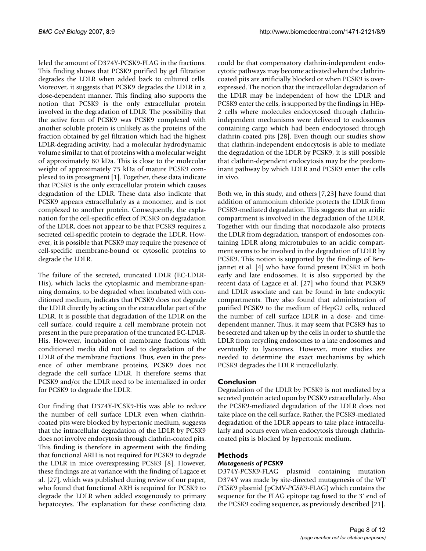leled the amount of D374Y-PCSK9-FLAG in the fractions. This finding shows that PCSK9 purified by gel filtration degrades the LDLR when added back to cultured cells. Moreover, it suggests that PCSK9 degrades the LDLR in a dose-dependent manner. This finding also supports the notion that PCSK9 is the only extracellular protein involved in the degradation of LDLR. The possibility that the active form of PCSK9 was PCSK9 complexed with another soluble protein is unlikely as the proteins of the fraction obtained by gel filtration which had the highest LDLR-degrading activity, had a molecular hydrodynamic volume similar to that of proteins with a molecular weight of approximately 80 kDa. This is close to the molecular weight of approximately 75 kDa of mature PCSK9 complexed to its prosegment [1]. Together, these data indicate that PCSK9 is the only extracellular protein which causes degradation of the LDLR. These data also indicate that PCSK9 appears extracellularly as a monomer, and is not complexed to another protein. Consequently, the explanation for the cell-specific effect of PCSK9 on degradation of the LDLR, does not appear to be that PCSK9 requires a secreted cell-specific protein to degrade the LDLR. However, it is possible that PCSK9 may require the presence of cell-specific membrane-bound or cytosolic proteins to degrade the LDLR.

The failure of the secreted, truncated LDLR (EC-LDLR-His), which lacks the cytoplasmic and membrane-spanning domains, to be degraded when incubated with conditioned medium, indicates that PCSK9 does not degrade the LDLR directly by acting on the extracellular part of the LDLR. It is possible that degradation of the LDLR on the cell surface, could require a cell membrane protein not present in the pure preparation of the truncated EC-LDLR-His. However, incubation of membrane fractions with conditioned media did not lead to degradation of the LDLR of the membrane fractions. Thus, even in the presence of other membrane proteins, PCSK9 does not degrade the cell surface LDLR. It therefore seems that PCSK9 and/or the LDLR need to be internalized in order for PCSK9 to degrade the LDLR.

Our finding that D374Y-PCSK9-His was able to reduce the number of cell surface LDLR even when clathrincoated pits were blocked by hypertonic medium, suggests that the intracellular degradation of the LDLR by PCSK9 does not involve endocytosis through clathrin-coated pits. This finding is therefore in agreement with the finding that functional ARH is not required for PCSK9 to degrade the LDLR in mice overexpressing PCSK9 [8]. However, these findings are at variance with the finding of Lagace et al. [27], which was published during review of our paper, who found that functional ARH is required for PCSK9 to degrade the LDLR when added exogenously to primary hepatocytes. The explanation for these conflicting data

could be that compensatory clathrin-independent endocytotic pathways may become activated when the clathrincoated pits are artificially blocked or when PCSK9 is overexpressed. The notion that the intracellular degradation of the LDLR may be independent of how the LDLR and PCSK9 enter the cells, is supported by the findings in HEp-2 cells where molecules endocytosed through clathrinindependent mechanisms were delivered to endosomes containing cargo which had been endocytosed through clathrin-coated pits [28]. Even though our studies show that clathrin-independent endocytosis is able to mediate the degradation of the LDLR by PCSK9, it is still possible that clathrin-dependent endocytosis may be the predominant pathway by which LDLR and PCSK9 enter the cells in vivo.

Both we, in this study, and others [7,23] have found that addition of ammonium chloride protects the LDLR from PCSK9-mediated degradation. This suggests that an acidic compartment is involved in the degradation of the LDLR. Together with our finding that nocodazole also protects the LDLR from degradation, transport of endosomes containing LDLR along microtubules to an acidic compartment seems to be involved in the degradation of LDLR by PCSK9. This notion is supported by the findings of Benjannet et al. [4] who have found present PCSK9 in both early and late endosomes. It is also supported by the recent data of Lagace et al. [27] who found that PCSK9 and LDLR associate and can be found in late endocytic compartments. They also found that administration of purified PCSK9 to the medium of HepG2 cells, reduced the number of cell surface LDLR in a dose- and timedependent manner. Thus, it may seem that PCSK9 has to be secreted and taken up by the cells in order to shuttle the LDLR from recycling endosomes to a late endosomes and eventually to lysosomes. However, more studies are needed to determine the exact mechanisms by which PCSK9 degrades the LDLR intracellularly.

# **Conclusion**

Degradation of the LDLR by PCSK9 is not mediated by a secreted protein acted upon by PCSK9 extracellularly. Also the PCSK9-mediated degradation of the LDLR does not take place on the cell surface. Rather, the PCSK9-mediated degradation of the LDLR appears to take place intracellularly and occurs even when endocytosis through clathrincoated pits is blocked by hypertonic medium.

# **Methods**

# *Mutagenesis of PCSK9*

D374Y-*PCSK9*-FLAG plasmid containing mutation D374Y was made by site-directed mutagenesis of the WT *PCSK9* plasmid (pCMV-*PCSK9*-FLAG) which contains the sequence for the FLAG epitope tag fused to the 3' end of the PCSK9 coding sequence, as previously described [21].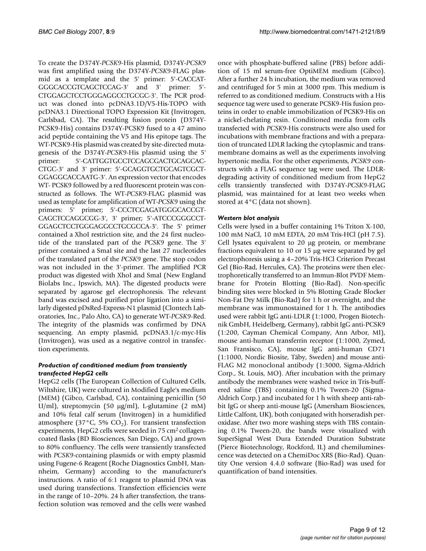To create the D374Y-*PCSK9*-His plasmid, D374Y-*PCSK9* was first amplified using the D374Y-*PCSK9*-FLAG plasmid as a template and the 5' primer: 5'-CACCAT-GGGCACCGTCAGCTCCAG-3' and 3' primer: 5'- CTGGAGCTCCTGGGAGGCCTGCGC-3'. The PCR product was cloned into pcDNA3.1D/V5-His-TOPO with pcDNA3.1 Directional TOPO Expression Kit (Invitrogen, Carlsbad, CA). The resulting fusion protein (D374Y-PCSK9-His) contains D374Y-PCSK9 fused to a 47 amino acid peptide containing the V5 and His epitope tags. The WT-PCSK9-His plasmid was created by site-directed mutagenesis of the D374Y-*PCSK9*-His plasmid using the 5' primer: 5'-CATTGGTGCCTCCAGCGACTGCAGCAC-CTGC-3' and 3' primer: 5'-GCAGGTGCTGCAGTCGCT-GGAGGCACCAATG-3'. An expression vector that encodes WT- PCSK9 followed by a red fluorescent protein was constructed as follows. The WT-*PCSK9*-FLAG plasmid was used as template for amplification of WT-*PCSK9* using the primers: 5' primer; 5'-CCCTCGAGATGGGCACCGT-CAGCTCCAGGCGG-3', 3' primer; 5'-ATCCCGGGCCT-GGAGCTCCTGGGAGGCCTGCGCCA-3'. The 5' primer contained a XhoI restriction site, and the 24 first nucleotide of the translated part of the *PCSK9* gene. The 3' primer contained a SmaI site and the last 27 nucleotides of the translated part of the *PCSK9* gene. The stop codon was not included in the 3'-primer. The amplified PCR product was digested with XhoI and SmaI (New England Biolabs Inc., Ipswich, MA). The digested products were separated by agarose gel electrophoresis. The relevant band was excised and purified prior ligation into a similarly digested pDsRed-Express-N1 plasmid (Clontech Laboratories, Inc., Palo Alto, CA) to generate WT-*PCSK9*-Red. The integrity of the plasmids was confirmed by DNA sequencing. An empty plasmid, pcDNA3.1/c-myc-His (Invitrogen), was used as a negative control in transfection experiments.

# *Production of conditioned medium from transiently transfected HepG2 cells*

HepG2 cells (The European Collection of Cultured Cells, Wiltshire, UK) were cultured in Modified Eagle's medium (MEM) (Gibco, Carlsbad, CA), containing penicillin (50 U/ml), streptomycin (50 μg/ml), L-glutamine (2 mM) and 10% fetal calf serum (Invitrogen) in a humidified atmosphere (37 $^{\circ}$ C, 5% CO<sub>2</sub>). For transient transfection experiments, HepG2 cells were seeded in 75 cm<sup>2</sup> collagencoated flasks (BD Biosciences, San Diego, CA) and grown to 80% confluency. The cells were transiently transfected with *PCSK9*-containing plasmids or with empty plasmid using Fugene-6 Reagent (Roche Diagnostics GmbH, Mannheim, Germany) according to the manufacturer's instructions. A ratio of 6:1 reagent to plasmid DNA was used during transfections. Transfection efficiencies were in the range of 10–20%. 24 h after transfection, the transfection solution was removed and the cells were washed

once with phosphate-buffered saline (PBS) before addition of 15 ml serum-free OptiMEM medium (Gibco). After a further 24 h incubation, the medium was removed and centrifuged for 5 min at 3000 rpm. This medium is referred to as conditioned medium. Constructs with a His sequence tag were used to generate PCSK9-His fusion proteins in order to enable immobilization of PCSK9-His on a nickel-chelating resin. Conditioned media from cells transfected with *PCSK9*-His constructs were also used for incubations with membrane fractions and with a preparation of truncated LDLR lacking the cytoplasmic and transmembrane domains as well as the experiments involving hypertonic media. For the other experiments, *PCSK9* constructs with a FLAG sequence tag were used. The LDLRdegrading activity of conditioned medium from HepG2 cells transiently transfected with D374Y-*PCSK9*-FLAG plasmid, was maintained for at least two weeks when stored at 4°C (data not shown).

# *Western blot analysis*

Cells were lysed in a buffer containing 1% Triton X-100, 100 mM NaCl, 10 mM EDTA, 20 mM Tris-HCl (pH 7.5). Cell lysates equivalent to 20 μg protein, or membrane fractions equivalent to 10 or 15 μg were separated by gel electrophoresis using a 4–20% Tris-HCl Criterion Precast Gel (Bio-Rad, Hercules, CA). The proteins were then electrophoretically transferred to an Immun-Blot PVDF Membrane for Protein Blotting (Bio-Rad). Non-specific binding sites were blocked in 5% Blotting Grade Blocker Non-Fat Dry Milk (Bio-Rad) for 1 h or overnight, and the membrane was immunostained for 1 h. The antibodies used were rabbit IgG anti-LDLR (1:1000, Progen Biotechnik GmbH, Heidelberg, Germany), rabbit IgG anti-PCSK9 (1:200, Cayman Chemical Company, Ann Arbor, MI), mouse anti-human transferrin receptor (1:1000, Zymed, San Fransisco, CA), mouse IgG anti-human CD71 (1:1000, Nordic Biosite, Täby, Sweden) and mouse anti-FLAG M2 monoclonal antibody (1:3000, Sigma-Aldrich Corp., St. Louis, MO). After incubation with the primary antibody the membranes were washed twice in Tris-buffered saline (TBS) containing 0.1% Tween-20 (Sigma-Aldrich Corp.) and incubated for 1 h with sheep anti-rabbit IgG or sheep anti-mouse IgG (Amersham Biosciences, Little Calfont, UK), both conjugated with horseradish peroxidase. After two more washing steps with TBS containing 0.1% Tween-20, the bands were visualized with SuperSignal West Dura Extended Duration Substrate (Pierce Biotechnology, Rockford, IL) and chemiluminescence was detected on a ChemiDoc XRS (Bio-Rad). Quantity One version 4.4.0 software (Bio-Rad) was used for quantification of band intensities.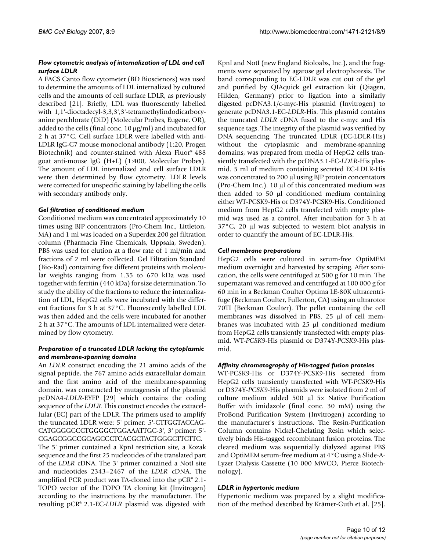#### *Flow cytometric analysis of internalization of LDL and cell surface LDLR*

A FACS Canto flow cytometer (BD Biosciences) was used to determine the amounts of LDL internalized by cultured cells and the amounts of cell surface LDLR, as previously described [21]. Briefly, LDL was fluorescently labelled with 1,1'-dioctadecyl-3,3,3',3'-tetramethylindodicarbocyanine perchlorate (DiD) (Molecular Probes, Eugene, OR), added to the cells (final conc. 10 μg/ml) and incubated for 2 h at 37°C. Cell surface LDLR were labelled with anti-LDLR IgG-C7 mouse monoclonal antibody (1:20, Progen Biotechnik) and counter-stained with Alexa Fluor® 488 goat anti-mouse IgG (H+L) (1:400, Molecular Probes). The amount of LDL internalized and cell surface LDLR were then determined by flow cytometry. LDLR levels were corrected for unspecific staining by labelling the cells with secondary antibody only.

#### *Gel filtration of conditioned medium*

Conditioned medium was concentrated approximately 10 times using BJP concentrators (Pro-Chem Inc., Littleton, MA) and 1 ml was loaded on a Superdex 200 gel filtration column (Pharmacia Fine Chemicals, Uppsala, Sweden). PBS was used for elution at a flow rate of 1 ml/min and fractions of 2 ml were collected. Gel Filtration Standard (Bio-Rad) containing five different proteins with molecular weights ranging from 1.35 to 670 kDa was used together with ferritin (440 kDa) for size determination. To study the ability of the fractions to reduce the internalization of LDL, HepG2 cells were incubated with the different fractions for 3 h at 37°C. Fluorescently labelled LDL was then added and the cells were incubated for another 2 h at 37°C. The amounts of LDL internalized were determined by flow cytometry.

#### *Preparation of a truncated LDLR lacking the cytoplasmic and membrane-spanning domains*

An *LDLR* construct encoding the 21 amino acids of the signal peptide, the 767 amino acids extracellular domain and the first amino acid of the membrane-spanning domain, was constructed by mutagenesis of the plasmid pcDNA4-*LDLR*-EYFP [29] which contains the coding sequence of the *LDLR*. This construct encodes the extracellular (EC) part of the LDLR. The primers used to amplify the truncated LDLR were: 5' primer: 5'-CTTGGTACCAG-CATGGGGCCCTGGGGCTGGAAATTGC-3', 3' primer: 5'- CGAGCGGCCGCAGCCCTCACGCTACTGGGCTTCTTC.

The 5' primer contained a KpnI restriction site, a Kozak sequence and the first 25 nucleotides of the translated part of the *LDLR* cDNA. The 3' primer contained a NotI site and nucleotides 2343–2467 of the *LDLR* cDNA. The amplified PCR product was TA-cloned into the pCR® 2.1- TOPO vector of the TOPO TA cloning kit (Invitrogen) according to the instructions by the manufacturer. The resulting pCR® 2.1-EC-*LDLR* plasmid was digested with

KpnI and NotI (new England Bioloabs, Inc.), and the fragments were separated by agarose gel electrophoresis. The band corresponding to EC-LDLR was cut out of the gel and purified by QIAquick gel extraction kit (Qiagen, Hilden, Germany) prior to ligation into a similarly digested pcDNA3.1/c-myc-His plasmid (Invitrogen) to generate pcDNA3.1-EC-*LDLR*-His. This plasmid contains the truncated *LDLR* cDNA fused to the c-myc and His sequence tags. The integrity of the plasmid was verified by DNA sequencing. The truncated LDLR (EC-LDLR-His) without the cytoplasmic and membrane-spanning domains, was prepared from media of HepG2 cells transiently transfected with the pcDNA3.1-EC-*LDLR*-His plasmid. 5 ml of medium containing secreted EC-LDLR-His was concentrated to 200 μl using BJP protein concentators (Pro-Chem Inc.). 10 μl of this concentrated medium was then added to 50 μl conditioned medium containing either WT-PCSK9-His or D374Y-PCSK9-His. Conditioned medium from HepG2 cells transfected with empty plasmid was used as a control. After incubation for 3 h at 37°C, 20 μl was subjected to western blot analysis in order to quantify the amount of EC-LDLR-His.

# *Cell membrane preparations*

HepG2 cells were cultured in serum-free OptiMEM medium overnight and harvested by scraping. After sonication, the cells were centrifuged at 500 g for 10 min. The supernatant was removed and centrifuged at 100 000 g for 60 min in a Beckman Coulter Optima LE-80K ultracentrifuge (Beckman Coulter, Fullerton, CA) using an ultrarotor 70TI (Beckman Coulter). The pellet containing the cell membranes was dissolved in PBS. 25 μl of cell membranes was incubated with 25 μl conditioned medium from HepG2 cells transiently transfected with empty plasmid, WT-*PCSK9*-His plasmid or D374Y-*PCSK9*-His plasmid.

#### *Affinity chromatography of His-tagged fusion proteins*

WT-PCSK9-His or D374Y-PCSK9-His secreted from HepG2 cells transiently transfected with WT-*PCSK9*-His or D374Y-*PCSK9*-His plasmids were isolated from 2 ml of culture medium added 500 μl 5× Native Purification Buffer with imidazole (final conc. 30 mM) using the ProBond Purification System (Invitrogen) according to the manufacturer's instructions. The Resin-Purification Column contains Nickel-Chelating Resin which selectively binds His-tagged recombinant fusion proteins. The cleared medium was sequentially dialyzed against PBS and OptiMEM serum-free medium at 4°C using a Slide-A-Lyzer Dialysis Cassette (10 000 MWCO, Pierce Biotechnology).

# *LDLR in hypertonic medium*

Hypertonic medium was prepared by a slight modification of the method described by Krämer-Guth et al. [25].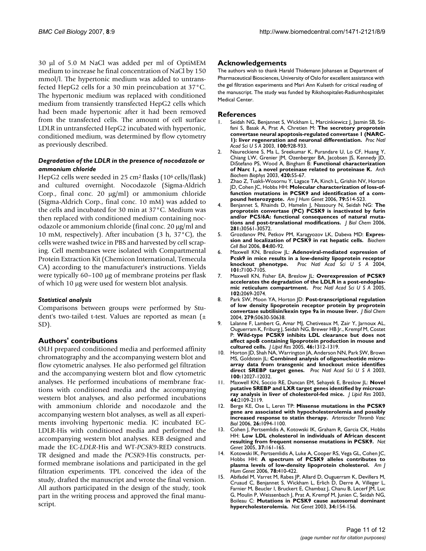30 μl of 5.0 M NaCl was added per ml of OptiMEM medium to increase he final concentration of NaCl by 150 mmol/l. The hypertonic medium was added to untransfected HepG2 cells for a 30 min preincubation at 37°C. The hypertonic medium was replaced with conditioned medium from transiently transfected HepG2 cells which had been made hypertonic after it had been removed from the transfected cells. The amount of cell surface LDLR in untransfected HepG2 incubated with hypertonic, conditioned medium, was determined by flow cytometry as previously described.

#### *Degradation of the LDLR in the presence of nocodazole or ammonium chloride*

HepG2 cells were seeded in 25 cm2 flasks (106 cells/flask) and cultured overnight. Nocodazole (Sigma-Aldrich Corp., final conc. 20 μg/ml) or ammonium chloride (Sigma-Aldrich Corp., final conc. 10 mM) was added to the cells and incubated for 30 min at 37°C. Medium was then replaced with conditioned medium containing nocodazole or ammonium chloride (final conc. 20 μg/ml and 10 mM, respectively). After incubation (3 h, 37°C), the cells were washed twice in PBS and harvested by cell scraping. Cell membranes were isolated with Compartmental Protein Extraction Kit (Chemicon International, Temecula CA) according to the manufacturer's instructions. Yields were typically 60–100 μg of membrane proteins per flask of which 10 μg were used for western blot analysis.

#### *Statistical analysis*

Comparisons between groups were performed by Student's two-tailed t-test. Values are reported as mean (± SD).

#### **Authors' contributions**

ØLH prepared conditioned media and performed affinity chromatography and the accompanying western blot and flow cytometric analyses. He also performed gel filtration and the accompanying western blot and flow cytometric analyses. He performed incubations of membrane fractions with conditioned media and the accompanying western blot analyses, and also performed incubations with ammonium chloride and nocodazole and the accompanying western blot analyses, as well as all experiments involving hypertonic media. JC incubated EC-LDLR-His with conditioned media and performed the accompanying western blot analyses. KEB designed and made the EC-*LDLR*-His and WT-*PCSK9*-RED constructs. TR designed and made the *PCSK9*-His constructs, performed membrane isolations and participated in the gel filtration experiments. TPL conceived the idea of the study, drafted the manuscript and wrote the final version. All authors participated in the design of the study, took part in the writing process and approved the final manuscript.

#### **Acknowledgements**

The authors wish to thank Harald Thidemann Johansen at Department of Pharmaceutical Biosciences, University of Oslo for excellent assistance with the gel filtration experiments and Mari Ann Kulseth for critical reading of the manuscript. The study was funded by Rikshospitalet-Radiumhospitalet Medical Center.

#### **References**

- Seidah NG, Benjannet S, Wickham L, Marcinkiewicz J, Jasmin SB, Stifani S, Basak A, Prat A, Chretien M: **[The secretory proprotein](http://www.ncbi.nlm.nih.gov/entrez/query.fcgi?cmd=Retrieve&db=PubMed&dopt=Abstract&list_uids=12552133) [convertase neural apoptosis-regulated convertase 1 \(NARC-](http://www.ncbi.nlm.nih.gov/entrez/query.fcgi?cmd=Retrieve&db=PubMed&dopt=Abstract&list_uids=12552133)[1\): liver regeneration and neuronal differentiation.](http://www.ncbi.nlm.nih.gov/entrez/query.fcgi?cmd=Retrieve&db=PubMed&dopt=Abstract&list_uids=12552133)** *Proc Natl Acad Sci U S A* 2003, **100:**928-933.
- 2. Naureckiene S, Ma L, Sreekumar K, Purandare U, Lo CF, Huang Y, Chiang LW, Grenier JM, Ozenberger BA, Jacobsen JS, Kennedy JD, DiStefano PS, Wood A, Bingham B: **[Functional characterization](http://www.ncbi.nlm.nih.gov/entrez/query.fcgi?cmd=Retrieve&db=PubMed&dopt=Abstract&list_uids=14622975) [of Narc 1, a novel proteinase related to proteinase K.](http://www.ncbi.nlm.nih.gov/entrez/query.fcgi?cmd=Retrieve&db=PubMed&dopt=Abstract&list_uids=14622975)** *Arch Biochem Biophys* 2003, **420:**55-67.
- 3. Zhao Z, Tuakli-Wosornu Y, Lagace TA, Kinch L, Grishin NV, Horton JD, Cohen JC, Hobbs HH: **[Molecular characterization of loss-of](http://www.ncbi.nlm.nih.gov/entrez/query.fcgi?cmd=Retrieve&db=PubMed&dopt=Abstract&list_uids=16909389)[function mutations in PCSK9 and identification of a com](http://www.ncbi.nlm.nih.gov/entrez/query.fcgi?cmd=Retrieve&db=PubMed&dopt=Abstract&list_uids=16909389)[pound heterozygote.](http://www.ncbi.nlm.nih.gov/entrez/query.fcgi?cmd=Retrieve&db=PubMed&dopt=Abstract&list_uids=16909389)** *Am J Hum Genet* 2006, **79:**514-523.
- 4. Benjannet S, Rhainds D, Hamelin J, Nassoury N, Seidah NG: **[The](http://www.ncbi.nlm.nih.gov/entrez/query.fcgi?cmd=Retrieve&db=PubMed&dopt=Abstract&list_uids=16912035) [proprotein convertase \(PC\) PCSK9 is inactivated by furin](http://www.ncbi.nlm.nih.gov/entrez/query.fcgi?cmd=Retrieve&db=PubMed&dopt=Abstract&list_uids=16912035) and/or PC5/6A: functional consequences of natural muta[tions and post-translational modifications.](http://www.ncbi.nlm.nih.gov/entrez/query.fcgi?cmd=Retrieve&db=PubMed&dopt=Abstract&list_uids=16912035)** *J Biol Chem* 2006, **281:**30561-30572.
- 5. Grozdanov PN, Petkov PM, Karagyozov LK, Dabeva MD: **[Expres](http://www.ncbi.nlm.nih.gov/entrez/query.fcgi?cmd=Retrieve&db=PubMed&dopt=Abstract&list_uids=16462892)[sion and localization of PCSK9 in rat hepatic cells.](http://www.ncbi.nlm.nih.gov/entrez/query.fcgi?cmd=Retrieve&db=PubMed&dopt=Abstract&list_uids=16462892)** *Biochem Cell Biol* 2006, **84:**80-92.
- 6. Maxwell KN, Breslow JL: **[Adenoviral-mediated expression of](http://www.ncbi.nlm.nih.gov/entrez/query.fcgi?cmd=Retrieve&db=PubMed&dopt=Abstract&list_uids=15118091) [Pcsk9 in mice results in a low-density lipoprotein receptor](http://www.ncbi.nlm.nih.gov/entrez/query.fcgi?cmd=Retrieve&db=PubMed&dopt=Abstract&list_uids=15118091) [knockout phenotype.](http://www.ncbi.nlm.nih.gov/entrez/query.fcgi?cmd=Retrieve&db=PubMed&dopt=Abstract&list_uids=15118091)** *Proc Natl Acad Sci U S A* 2004, **101:**7100-7105.
- 7. Maxwell KN, Fisher EA, Breslow JL: **[Overexpression of PCSK9](http://www.ncbi.nlm.nih.gov/entrez/query.fcgi?cmd=Retrieve&db=PubMed&dopt=Abstract&list_uids=15677715) [accelerates the degradation of the LDLR in a post-endoplas](http://www.ncbi.nlm.nih.gov/entrez/query.fcgi?cmd=Retrieve&db=PubMed&dopt=Abstract&list_uids=15677715)[mic reticulum compartment.](http://www.ncbi.nlm.nih.gov/entrez/query.fcgi?cmd=Retrieve&db=PubMed&dopt=Abstract&list_uids=15677715)** *Proc Natl Acad Sci U S A* 2005, **102:**2069-2074.
- 8. Park SW, Moon YA, Horton JD: **[Post-transcriptional regulation](http://www.ncbi.nlm.nih.gov/entrez/query.fcgi?cmd=Retrieve&db=PubMed&dopt=Abstract&list_uids=15385538) [of low density lipoprotein receptor protein by proprotein](http://www.ncbi.nlm.nih.gov/entrez/query.fcgi?cmd=Retrieve&db=PubMed&dopt=Abstract&list_uids=15385538) [convertase subtilisin/kexin type 9a in mouse liver.](http://www.ncbi.nlm.nih.gov/entrez/query.fcgi?cmd=Retrieve&db=PubMed&dopt=Abstract&list_uids=15385538)** *J Biol Chem* 2004, **279:**50630-50638.
- 9. Lalanne F, Lambert G, Amar MJ, Chetiveaux M, Zair Y, Jarnoux AL, Ouguerram K, Friburg J, Seidah NG, Brewer HB Jr., Krempf M, Costet P: **[Wild-type PCSK9 inhibits LDL clearance but does not](http://www.ncbi.nlm.nih.gov/entrez/query.fcgi?cmd=Retrieve&db=PubMed&dopt=Abstract&list_uids=15741654) [affect apoB containing lipoprotein production in mouse and](http://www.ncbi.nlm.nih.gov/entrez/query.fcgi?cmd=Retrieve&db=PubMed&dopt=Abstract&list_uids=15741654) [cultured cells.](http://www.ncbi.nlm.nih.gov/entrez/query.fcgi?cmd=Retrieve&db=PubMed&dopt=Abstract&list_uids=15741654)** *J Lipid Res* 2005, **46:**1312-1319.
- 10. Horton JD, Shah NA, Warrington JA, Anderson NN, Park SW, Brown MS, Goldstein JL: **[Combined analysis of oligonucleotide micro](http://www.ncbi.nlm.nih.gov/entrez/query.fcgi?cmd=Retrieve&db=PubMed&dopt=Abstract&list_uids=14512514)[array data from transgenic and knockout mice identifies](http://www.ncbi.nlm.nih.gov/entrez/query.fcgi?cmd=Retrieve&db=PubMed&dopt=Abstract&list_uids=14512514) [direct SREBP target genes.](http://www.ncbi.nlm.nih.gov/entrez/query.fcgi?cmd=Retrieve&db=PubMed&dopt=Abstract&list_uids=14512514)** *Proc Natl Acad Sci U S A* 2003, **100:**12027-12032.
- 11. Maxwell KN, Soccio RE, Duncan EM, Sehayek E, Breslow JL: **[Novel](http://www.ncbi.nlm.nih.gov/entrez/query.fcgi?cmd=Retrieve&db=PubMed&dopt=Abstract&list_uids=12897189) [putative SREBP and LXR target genes identified by microar](http://www.ncbi.nlm.nih.gov/entrez/query.fcgi?cmd=Retrieve&db=PubMed&dopt=Abstract&list_uids=12897189)[ray analysis in liver of cholesterol-fed mice.](http://www.ncbi.nlm.nih.gov/entrez/query.fcgi?cmd=Retrieve&db=PubMed&dopt=Abstract&list_uids=12897189)** *J Lipid Res* 2003, **44:**2109-2119.
- 12. Berge KE, Ose L, Leren TP: **[Missense mutations in the PCSK9](http://www.ncbi.nlm.nih.gov/entrez/query.fcgi?cmd=Retrieve&db=PubMed&dopt=Abstract&list_uids=16424354) [gene are associated with hypocholesterolemia and possibly](http://www.ncbi.nlm.nih.gov/entrez/query.fcgi?cmd=Retrieve&db=PubMed&dopt=Abstract&list_uids=16424354) [increased response to statin therapy.](http://www.ncbi.nlm.nih.gov/entrez/query.fcgi?cmd=Retrieve&db=PubMed&dopt=Abstract&list_uids=16424354)** *Arterioscler Thromb Vasc Biol* 2006, **26:**1094-1100.
- 13. Cohen J, Pertsemlidis A, Kotowski IK, Graham R, Garcia CK, Hobbs HH: **[Low LDL cholesterol in individuals of African descent](http://www.ncbi.nlm.nih.gov/entrez/query.fcgi?cmd=Retrieve&db=PubMed&dopt=Abstract&list_uids=15654334) [resulting from frequent nonsense mutations in PCSK9.](http://www.ncbi.nlm.nih.gov/entrez/query.fcgi?cmd=Retrieve&db=PubMed&dopt=Abstract&list_uids=15654334)** *Nat Genet* 2005, **37:**161-165.
- 14. Kotowski IK, Pertsemlidis A, Luke A, Cooper RS, Vega GL, Cohen JC, Hobbs HH: **[A spectrum of PCSK9 alleles contributes to](http://www.ncbi.nlm.nih.gov/entrez/query.fcgi?cmd=Retrieve&db=PubMed&dopt=Abstract&list_uids=16465619) [plasma levels of low-density lipoprotein cholesterol.](http://www.ncbi.nlm.nih.gov/entrez/query.fcgi?cmd=Retrieve&db=PubMed&dopt=Abstract&list_uids=16465619)** *Am J Hum Genet* 2006, **78:**410-422.
- Abifadel M, Varret M, Rabes JP, Allard D, Ouguerram K, Devillers M, Cruaud C, Benjannet S, Wickham L, Erlich D, Derre A, Villeger L, Farnier M, Beucler I, Bruckert E, Chambaz J, Chanu B, Lecerf JM, Luc G, Moulin P, Weissenbach J, Prat A, Krempf M, Junien C, Seidah NG, Boileau C: **[Mutations in PCSK9 cause autosomal dominant](http://www.ncbi.nlm.nih.gov/entrez/query.fcgi?cmd=Retrieve&db=PubMed&dopt=Abstract&list_uids=12730697) [hypercholesterolemia.](http://www.ncbi.nlm.nih.gov/entrez/query.fcgi?cmd=Retrieve&db=PubMed&dopt=Abstract&list_uids=12730697)** *Nat Genet* 2003, **34:**154-156.